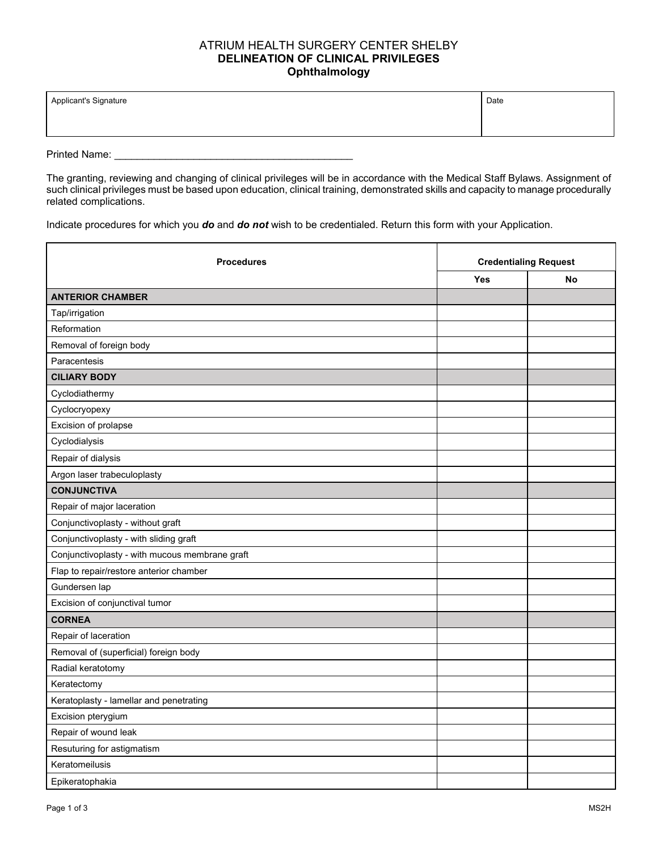## ATRIUM HEALTH SURGERY CENTER SHELBY **DELINEATION OF CLINICAL PRIVILEGES Ophthalmology**

| Applicant's Signature | Date |
|-----------------------|------|
|                       |      |

Printed Name: \_\_\_\_\_\_\_\_\_\_\_\_\_\_\_\_\_\_\_\_\_\_\_\_\_\_\_\_\_\_\_\_\_\_\_\_\_\_\_\_\_\_

The granting, reviewing and changing of clinical privileges will be in accordance with the Medical Staff Bylaws. Assignment of such clinical privileges must be based upon education, clinical training, demonstrated skills and capacity to manage procedurally related complications.

Indicate procedures for which you *do* and *do not* wish to be credentialed. Return this form with your Application.

| <b>Procedures</b>                              | <b>Credentialing Request</b> |           |
|------------------------------------------------|------------------------------|-----------|
|                                                | Yes                          | <b>No</b> |
| <b>ANTERIOR CHAMBER</b>                        |                              |           |
| Tap/irrigation                                 |                              |           |
| Reformation                                    |                              |           |
| Removal of foreign body                        |                              |           |
| Paracentesis                                   |                              |           |
| <b>CILIARY BODY</b>                            |                              |           |
| Cyclodiathermy                                 |                              |           |
| Cyclocryopexy                                  |                              |           |
| Excision of prolapse                           |                              |           |
| Cyclodialysis                                  |                              |           |
| Repair of dialysis                             |                              |           |
| Argon laser trabeculoplasty                    |                              |           |
| <b>CONJUNCTIVA</b>                             |                              |           |
| Repair of major laceration                     |                              |           |
| Conjunctivoplasty - without graft              |                              |           |
| Conjunctivoplasty - with sliding graft         |                              |           |
| Conjunctivoplasty - with mucous membrane graft |                              |           |
| Flap to repair/restore anterior chamber        |                              |           |
| Gundersen lap                                  |                              |           |
| Excision of conjunctival tumor                 |                              |           |
| <b>CORNEA</b>                                  |                              |           |
| Repair of laceration                           |                              |           |
| Removal of (superficial) foreign body          |                              |           |
| Radial keratotomy                              |                              |           |
| Keratectomy                                    |                              |           |
| Keratoplasty - lamellar and penetrating        |                              |           |
| Excision pterygium                             |                              |           |
| Repair of wound leak                           |                              |           |
| Resuturing for astigmatism                     |                              |           |
| Keratomeilusis                                 |                              |           |
| Epikeratophakia                                |                              |           |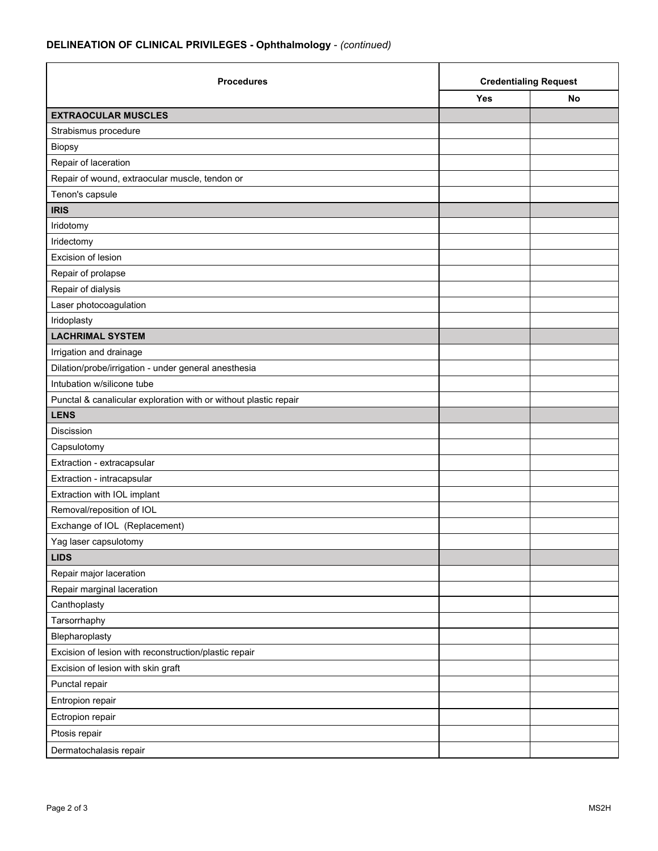## **DELINEATION OF CLINICAL PRIVILEGES - Ophthalmology** - *(continued)*

| <b>Procedures</b>                                                | <b>Credentialing Request</b> |    |
|------------------------------------------------------------------|------------------------------|----|
|                                                                  | <b>Yes</b>                   | No |
| <b>EXTRAOCULAR MUSCLES</b>                                       |                              |    |
| Strabismus procedure                                             |                              |    |
| <b>Biopsy</b>                                                    |                              |    |
| Repair of laceration                                             |                              |    |
| Repair of wound, extraocular muscle, tendon or                   |                              |    |
| Tenon's capsule                                                  |                              |    |
| <b>IRIS</b>                                                      |                              |    |
| Iridotomy                                                        |                              |    |
| Iridectomy                                                       |                              |    |
| Excision of lesion                                               |                              |    |
| Repair of prolapse                                               |                              |    |
| Repair of dialysis                                               |                              |    |
| Laser photocoagulation                                           |                              |    |
| Iridoplasty                                                      |                              |    |
| <b>LACHRIMAL SYSTEM</b>                                          |                              |    |
| Irrigation and drainage                                          |                              |    |
| Dilation/probe/irrigation - under general anesthesia             |                              |    |
| Intubation w/silicone tube                                       |                              |    |
| Punctal & canalicular exploration with or without plastic repair |                              |    |
| <b>LENS</b>                                                      |                              |    |
| Discission                                                       |                              |    |
| Capsulotomy                                                      |                              |    |
| Extraction - extracapsular                                       |                              |    |
| Extraction - intracapsular                                       |                              |    |
| Extraction with IOL implant                                      |                              |    |
| Removal/reposition of IOL                                        |                              |    |
| Exchange of IOL (Replacement)                                    |                              |    |
| Yag laser capsulotomy                                            |                              |    |
| <b>LIDS</b>                                                      |                              |    |
| Repair major laceration                                          |                              |    |
| Repair marginal laceration                                       |                              |    |
| Canthoplasty                                                     |                              |    |
| Tarsorrhaphy                                                     |                              |    |
| Blepharoplasty                                                   |                              |    |
| Excision of lesion with reconstruction/plastic repair            |                              |    |
| Excision of lesion with skin graft                               |                              |    |
| Punctal repair                                                   |                              |    |
| Entropion repair                                                 |                              |    |
| Ectropion repair                                                 |                              |    |
| Ptosis repair                                                    |                              |    |
| Dermatochalasis repair                                           |                              |    |